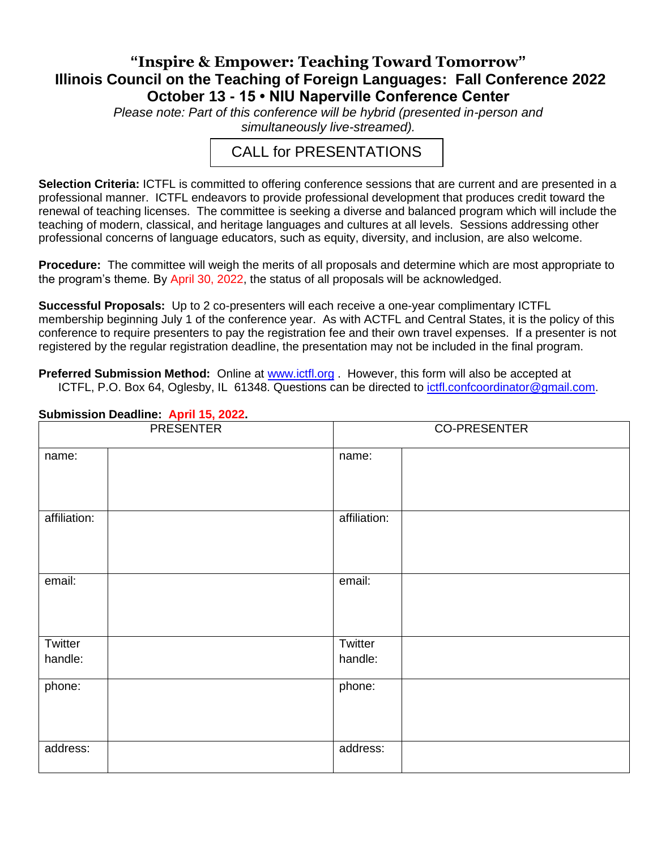## **"Inspire & Empower: Teaching Toward Tomorrow" Illinois Council on the Teaching of Foreign Languages: Fall Conference 2022 October 13 - 15 • NIU Naperville Conference Center**

*Please note: Part of this conference will be hybrid (presented in-person and simultaneously live-streamed).* 

## CALL for PRESENTATIONS

**Selection Criteria:** ICTFL is committed to offering conference sessions that are current and are presented in a professional manner. ICTFL endeavors to provide professional development that produces credit toward the renewal of teaching licenses. The committee is seeking a diverse and balanced program which will include the teaching of modern, classical, and heritage languages and cultures at all levels. Sessions addressing other professional concerns of language educators, such as equity, diversity, and inclusion, are also welcome.

**Procedure:** The committee will weigh the merits of all proposals and determine which are most appropriate to the program's theme. By April 30, 2022, the status of all proposals will be acknowledged.

**Successful Proposals:** Up to 2 co-presenters will each receive a one-year complimentary ICTFL membership beginning July 1 of the conference year. As with ACTFL and Central States, it is the policy of this conference to require presenters to pay the registration fee and their own travel expenses. If a presenter is not registered by the regular registration deadline, the presentation may not be included in the final program.

**Preferred Submission Method:** Online at [www.ictfl.org](http://www.ictfl.org/) . However, this form will also be accepted at ICTFL, P.O. Box 64, Oglesby, IL 61348. Questions can be directed to [ictfl.confcoordinator@gmail.com.](mailto:ictfl.confcoordinator@gmail.com)

| <b>PRESENTER</b> |  | <b>CO-PRESENTER</b> |  |  |
|------------------|--|---------------------|--|--|
| name:            |  | name:               |  |  |
| affiliation:     |  | affiliation:        |  |  |
| email:           |  | email:              |  |  |
| Twitter          |  | Twitter             |  |  |
| handle:          |  | handle:             |  |  |
| phone:           |  | phone:              |  |  |
| address:         |  | address:            |  |  |

## **Submission Deadline: April 15, 2022.**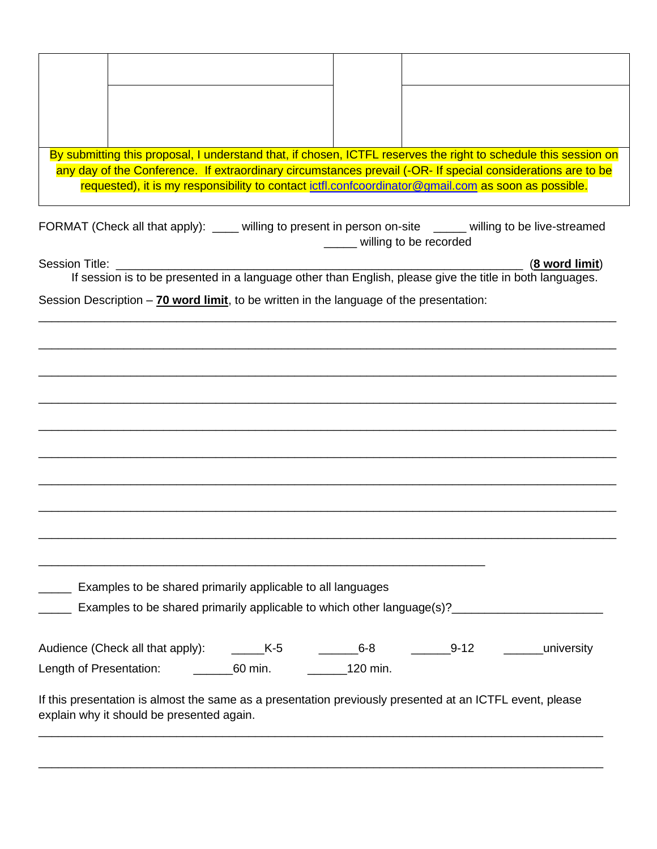| By submitting this proposal, I understand that, if chosen, ICTFL reserves the right to schedule this session on |  |  |  |  |  |
|-----------------------------------------------------------------------------------------------------------------|--|--|--|--|--|
| any day of the Conference. If extraordinary circumstances prevail (-OR- If special considerations are to be     |  |  |  |  |  |
| requested), it is my responsibility to contact ictfl.confcoordinator@gmail.com as soon as possible.             |  |  |  |  |  |
|                                                                                                                 |  |  |  |  |  |

| FORMAT (Check all that apply): | willing to present in person on-site | willing to be live-streamed |
|--------------------------------|--------------------------------------|-----------------------------|
|                                | willing to be recorded               |                             |

Session Title: \_\_\_\_\_\_\_\_\_\_\_\_\_\_\_\_\_\_\_\_\_\_\_\_\_\_\_\_\_\_\_\_\_\_\_\_\_\_\_\_\_\_\_\_\_\_\_\_\_\_\_\_\_\_\_\_\_\_\_\_\_\_ (**8 word limit**)

If session is to be presented in a language other than English, please give the title in both languages.

\_\_\_\_\_\_\_\_\_\_\_\_\_\_\_\_\_\_\_\_\_\_\_\_\_\_\_\_\_\_\_\_\_\_\_\_\_\_\_\_\_\_\_\_\_\_\_\_\_\_\_\_\_\_\_\_\_\_\_\_\_\_\_\_\_\_\_\_\_\_\_\_\_\_\_\_\_\_\_\_\_\_\_\_\_\_\_\_

\_\_\_\_\_\_\_\_\_\_\_\_\_\_\_\_\_\_\_\_\_\_\_\_\_\_\_\_\_\_\_\_\_\_\_\_\_\_\_\_\_\_\_\_\_\_\_\_\_\_\_\_\_\_\_\_\_\_\_\_\_\_\_\_\_\_\_\_\_\_\_\_\_\_\_\_\_\_\_\_\_\_\_\_\_\_\_\_

\_\_\_\_\_\_\_\_\_\_\_\_\_\_\_\_\_\_\_\_\_\_\_\_\_\_\_\_\_\_\_\_\_\_\_\_\_\_\_\_\_\_\_\_\_\_\_\_\_\_\_\_\_\_\_\_\_\_\_\_\_\_\_\_\_\_\_\_\_\_\_\_\_\_\_\_\_\_\_\_\_\_\_\_\_\_\_\_

\_\_\_\_\_\_\_\_\_\_\_\_\_\_\_\_\_\_\_\_\_\_\_\_\_\_\_\_\_\_\_\_\_\_\_\_\_\_\_\_\_\_\_\_\_\_\_\_\_\_\_\_\_\_\_\_\_\_\_\_\_\_\_\_\_\_\_\_\_\_\_\_\_\_\_\_\_\_\_\_\_\_\_\_\_\_\_\_

\_\_\_\_\_\_\_\_\_\_\_\_\_\_\_\_\_\_\_\_\_\_\_\_\_\_\_\_\_\_\_\_\_\_\_\_\_\_\_\_\_\_\_\_\_\_\_\_\_\_\_\_\_\_\_\_\_\_\_\_\_\_\_\_\_\_\_\_\_\_\_\_\_\_\_\_\_\_\_\_\_\_\_\_\_\_\_\_

\_\_\_\_\_\_\_\_\_\_\_\_\_\_\_\_\_\_\_\_\_\_\_\_\_\_\_\_\_\_\_\_\_\_\_\_\_\_\_\_\_\_\_\_\_\_\_\_\_\_\_\_\_\_\_\_\_\_\_\_\_\_\_\_\_\_\_\_\_\_\_\_\_\_\_\_\_\_\_\_\_\_\_\_\_\_\_\_

\_\_\_\_\_\_\_\_\_\_\_\_\_\_\_\_\_\_\_\_\_\_\_\_\_\_\_\_\_\_\_\_\_\_\_\_\_\_\_\_\_\_\_\_\_\_\_\_\_\_\_\_\_\_\_\_\_\_\_\_\_\_\_\_\_\_\_\_\_\_\_\_\_\_\_\_\_\_\_\_\_\_\_\_\_\_\_\_

\_\_\_\_\_\_\_\_\_\_\_\_\_\_\_\_\_\_\_\_\_\_\_\_\_\_\_\_\_\_\_\_\_\_\_\_\_\_\_\_\_\_\_\_\_\_\_\_\_\_\_\_\_\_\_\_\_\_\_\_\_\_\_\_\_\_\_\_\_\_\_\_\_\_\_\_\_\_\_\_\_\_\_\_\_\_\_\_

\_\_\_\_\_\_\_\_\_\_\_\_\_\_\_\_\_\_\_\_\_\_\_\_\_\_\_\_\_\_\_\_\_\_\_\_\_\_\_\_\_\_\_\_\_\_\_\_\_\_\_\_\_\_\_\_\_\_\_\_\_\_\_\_\_\_\_\_\_\_\_\_\_\_\_\_\_\_\_\_\_\_\_\_\_\_\_\_

Session Description – **70 word limit**, to be written in the language of the presentation:

**\_\_\_\_\_** Examples to be shared primarily applicable to all languages

\_\_\_\_\_\_\_\_\_\_\_\_\_\_\_\_\_\_\_\_\_\_\_\_\_\_\_\_\_\_\_\_\_\_\_\_\_\_\_\_\_\_\_\_\_\_\_\_\_\_\_\_\_\_\_\_\_\_\_\_\_\_\_\_\_\_\_\_

Lackgrounder Examples to be shared primarily applicable to which other language(s)?<br>
and Examples to be shared primarily applicable to which other language(s)?

| Audience (Check all that apply): | K-5     | 6-8      | $9 - 12$ | university |
|----------------------------------|---------|----------|----------|------------|
| Length of Presentation:          | 60 min. | 120 min. |          |            |

If this presentation is almost the same as a presentation previously presented at an ICTFL event, please explain why it should be presented again.

\_\_\_\_\_\_\_\_\_\_\_\_\_\_\_\_\_\_\_\_\_\_\_\_\_\_\_\_\_\_\_\_\_\_\_\_\_\_\_\_\_\_\_\_\_\_\_\_\_\_\_\_\_\_\_\_\_\_\_\_\_\_\_\_\_\_\_\_\_\_\_\_\_\_\_\_\_\_\_\_\_\_\_\_\_\_

\_\_\_\_\_\_\_\_\_\_\_\_\_\_\_\_\_\_\_\_\_\_\_\_\_\_\_\_\_\_\_\_\_\_\_\_\_\_\_\_\_\_\_\_\_\_\_\_\_\_\_\_\_\_\_\_\_\_\_\_\_\_\_\_\_\_\_\_\_\_\_\_\_\_\_\_\_\_\_\_\_\_\_\_\_\_